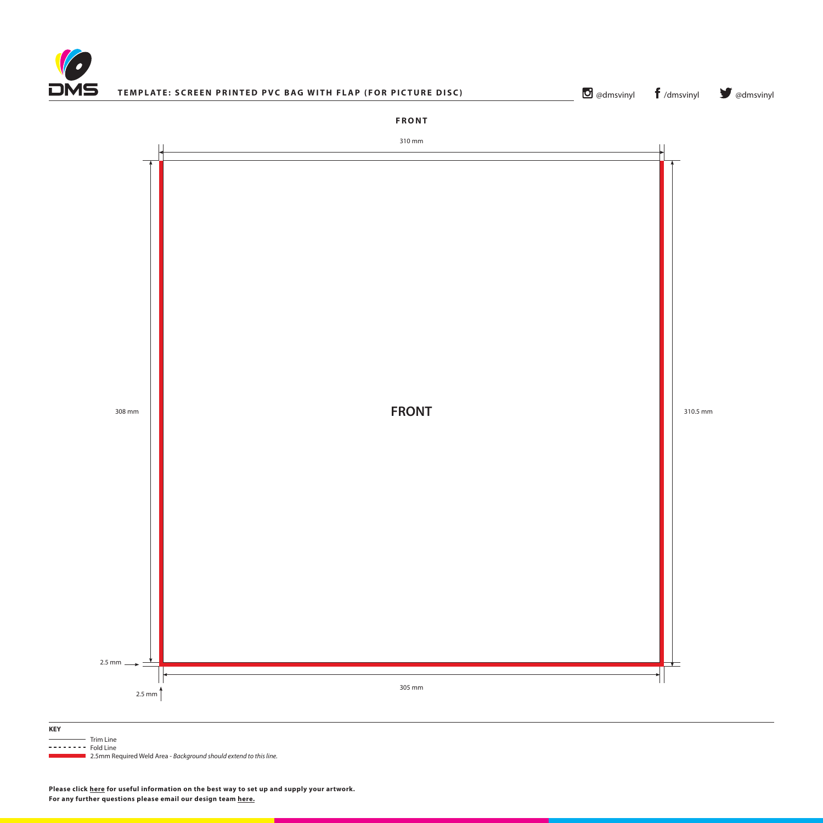

## **TEMPLATE: SCREEN PRINTED PVC BAG WITH FLAP (FOR PICTURE DISC)**

**O** [@dmsvinyl](http://www.twitter.com/dmsvinyl) **f** [/dmsvinyl](http://www.facebook.com/dmsvinyl) **y** @dmsvinyl

**FRONT**

310 mm



| <b>KEY</b>         |                                                                                  |
|--------------------|----------------------------------------------------------------------------------|
|                    | Trim Line                                                                        |
| $------$ Fold Line |                                                                                  |
|                    | <b>Example 2.5mm Required Weld Area - Background should extend to this line.</b> |



**Please click [here](http://www.discmanufacturingservices.com/vinyl/templates#artwork-specifications) for useful information on the best way to set up and supply your artwork. For any further questions please email our design team [here](mailto:graphics%40discmanufacturingservices.com?subject=Template%20Enquiry).**